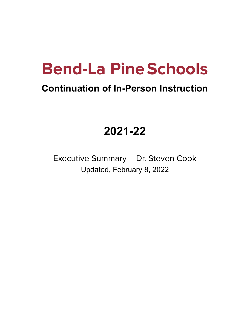# **Bend-La PineSchools**

### **Continuation of In-Person Instruction**

## **2021-22**

Executive Summary – Dr. Steven Cook Updated, February 8, 2022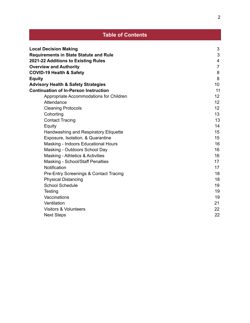| <b>Table of Contents</b>                          |                 |
|---------------------------------------------------|-----------------|
| <b>Local Decision Making</b>                      | 3               |
| <b>Requirements in State Statute and Rule</b>     | 3               |
| 2021-22 Additions to Existing Rules               | 4               |
| <b>Overview and Authority</b>                     | $\overline{7}$  |
| <b>COVID-19 Health &amp; Safety</b>               | 8               |
| <b>Equity</b>                                     | 8               |
| <b>Advisory Health &amp; Safety Strategies</b>    | 10              |
| <b>Continuation of In-Person Instruction</b>      | 11              |
| Appropriate Accommodations for Children           | 12              |
| Attendance                                        | 12 <sup>2</sup> |
| <b>Cleaning Protocols</b>                         | 12              |
| Cohorting                                         | 13              |
| <b>Contact Tracing</b>                            | 13              |
| Equity                                            | 14              |
| Handwashing and Respiratory Etiquette             | 15              |
| Exposure, Isolation, & Quarantine                 | 15              |
| Masking - Indoors Educational Hours               | 16              |
| Masking - Outdoors School Day                     | 16              |
| Masking - Athletics & Activities                  | 16              |
| Masking - School/Staff Penalties                  | 17              |
| Notification                                      | 17              |
| <b>Pre-Entry Screenings &amp; Contact Tracing</b> | 18              |
| <b>Physical Distancing</b>                        | 18              |
| <b>School Schedule</b>                            | 19              |
| Testing                                           | 19              |
| Vaccinations                                      | 19              |
| Ventilation                                       | 21              |
| <b>Visitors &amp; Volunteers</b>                  | 22              |
| <b>Next Steps</b>                                 | 22              |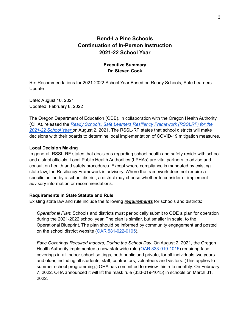#### **Bend-La Pine Schools Continuation of In-Person Instruction 2021-22 School Year**

#### **Executive Summary Dr. Steven Cook**

Re: Recommendations for 2021-2022 School Year Based on Ready Schools, Safe Learners Update

Date: August 10, 2021 Updated: February 8, 2022

The Oregon Department of Education (ODE), in collaboration with the Oregon Health Authority (OHA), released the *Ready Schools, Safe Learners Resiliency [Framework](https://www.oregon.gov/ode/students-and-family/healthsafety/Documents/Ready%20Schools%20Safe%20Learners%20Resiliency%20Framework%20for%20the%202021-22%20School%20Year.pdf) (RSSLRF) for the [2021-22](https://www.oregon.gov/ode/students-and-family/healthsafety/Documents/Ready%20Schools%20Safe%20Learners%20Resiliency%20Framework%20for%20the%202021-22%20School%20Year.pdf) School Year* on August 2, 2021. The RSSL-RF states that school districts will make decisions with their boards to determine local implementation of COVID-19 mitigation measures.

#### **Local Decision Making**

In general, RSSL-RF states that decisions regarding school health and safety reside with school and district officials. Local Public Health Authorities (LPHAs) are vital partners to advise and consult on health and safety procedures. Except where compliance is mandated by existing state law, the Resiliency Framework is advisory. Where the framework does not require a specific action by a school district, a district may choose whether to consider or implement advisory information or recommendations.

#### **Requirements in State Statute and Rule**

Existing state law and rule include the following *requirements* for schools and districts:

*Operational Plan*: Schools and districts must periodically submit to ODE a plan for operation during the 2021-2022 school year. The plan is similar, but smaller in scale, to the Operational Blueprint. The plan should be informed by community engagement and posted on the school district website (OAR [581-022-0105\)](https://secure.sos.state.or.us/oard/displayDivisionRules.action?selectedDivision=2563).

*Face Coverings Required Indoors, During the School Day:* On August 2, 2021, the Oregon Health Authority implemented a new statewide rule (OAR [333-019-1015](https://lnks.gd/l/eyJhbGciOiJIUzI1NiJ9.eyJidWxsZXRpbl9saW5rX2lkIjoxMDQsInVyaSI6ImJwMjpjbGljayIsImJ1bGxldGluX2lkIjoiMjAyMTA4MDMuNDQwODAxNjEiLCJ1cmwiOiJodHRwczovL3NlY3VyZS5zb3Muc3RhdGUub3IudXMvb2FyZC92aWV3U2luZ2xlUnVsZS5hY3Rpb24_cnVsZVZyc25Sc249MjgwMTgzJnV0bV9tZWRpdW09ZW1haWwmdXRtX3NvdXJjZT1nb3ZkZWxpdmVyeSJ9.tM_5df0cCtkx2qVROshDeXmoZ5SW60FpqAEim2ESR3w/s/979397990/br/110339932286-l)) requiring face coverings in all indoor school settings, both public and private, for all individuals two years and older, including all students, staff, contractors, volunteers and visitors. (This applies to summer school programming.) OHA has committed to review this rule monthly. On February 7, 2022, OHA announced it will lift the mask rule (333-019-1015) in schools on March 31, 2022.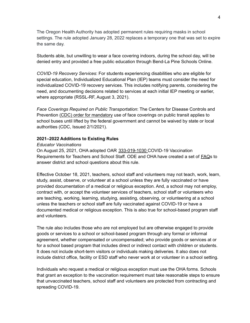The Oregon Health Authority has adopted [permanent](https://secure.sos.state.or.us/oard/viewSingleRule.action?ruleVrsnRsn=286288) rules requiring masks in school settings. The rule adopted January 28, 2022 replaces a temporary one that was set to expire the same day.

Students able, but unwilling to wear a face covering indoors, during the school day, will be denied entry and provided a free public education through Bend-La Pine Schools Online.

*COVID-19 Recovery Services*: For students experiencing disabilities who are eligible for special education, Individualized Educational Plan (IEP) teams must consider the need for individualized COVID-19 recovery services. This includes notifying parents, considering the need, and documenting decisions related to services at each initial IEP meeting or earlier, where appropriate (RSSL-RF, August 3, 2021).

*Face Coverings Required on Public Transportation*: The Centers for Disease Controls and Prevention (CDC) order for [mandatory](https://www.cdc.gov/coronavirus/2019-ncov/travelers/face-masks-public-transportation.html) use of face coverings on public transit applies to school buses until lifted by the federal government and cannot be waived by state or local authorities (CDC, Issued 2/1/2021).

#### **2021–2022 Additions to Existing Rules**

#### *Educator Vaccinations*

On August 25, 2021, OHA adopted OAR [333-019-1030](https://secure.sos.state.or.us/oard/viewSingleRule.action?ruleVrsnRsn=280616) COVID-19 Vaccination Requirements for Teachers and School Staff. ODE and OHA have created a set of [FAQ](https://sharedsystems.dhsoha.state.or.us/DHSForms/Served/le3874.pdf)s to answer district and school questions about this rule.

Effective October 18, 2021, teachers, school staff and volunteers may not teach, work, learn, study, assist, observe, or volunteer at a school unless they are fully vaccinated or have provided documentation of a medical or religious exception. And, a school may not employ, contract with, or accept the volunteer services of teachers, school staff or volunteers who are teaching, working, learning, studying, assisting, observing, or volunteering at a school unless the teachers or school staff are fully vaccinated against COVID-19 or have a documented medical or religious exception. This is also true for school-based program staff and volunteers.

The rule also includes those who are not employed but are otherwise engaged to provide goods or services to a school or school-based program through any formal or informal agreement, whether compensated or uncompensated; who provide goods or services at or for a school based program that includes direct or indirect contact with children or students. It does not include short-term visitors or individuals making deliveries. It also does not include district office, facility or ESD staff who never work at or volunteer in a school setting.

Individuals who request a medical or religious exception must use the OHA forms. Schools that grant an exception to the vaccination requirement must take reasonable steps to ensure that unvaccinated teachers, school staff and volunteers are protected from contracting and spreading COVID-19.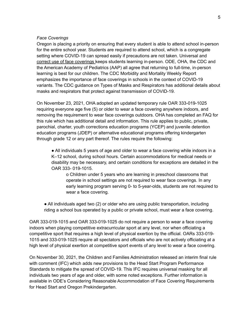#### *Face Coverings*

Oregon is placing a priority on ensuring that every student is able to attend school in-person for the entire school year. Students are required to attend school, which is a congregate setting where COVID-19 can spread easily if precautions are not taken. Universal and correct use of face [coverings](https://www.cdc.gov/coronavirus/2019-ncov/prevent-getting-sick/about-face-coverings.html) keeps students learning in-person. ODE, OHA, the CDC and the American Academy of Pediatrics (AAP) all agree that returning to full-time, in-person learning is best for our children. The CDC Morbidity and Mortality Weekly Report emphasizes the importance of face coverings in schools in the context of COVID-19 variants. The CDC guidance on Types of Masks and Respirators has additional details about masks and respirators that protect against transmission of COVID-19.

On November 23, 2021, OHA adopted an updated temporary rule OAR 333-019-1025 requiring everyone age five (5) or older to wear a face covering anywhere indoors, and removing the requirement to wear face coverings outdoors. OHA has completed an FAQ for this rule which has additional detail and information. This rule applies to public, private, parochial, charter, youth corrections education programs (YCEP) and juvenile detention education programs (JDEP) or alternative educational programs offering kindergarten through grade 12 or any part thereof. The rules require the following:

● All individuals 5 years of age and older to wear a face covering while indoors in a K–12 school, during school hours. Certain accommodations for medical needs or disability may be necessary, and certain conditions for exceptions are detailed in the OAR 333- 019-1015.

o Children under 5 years who are learning in preschool classrooms that operate in school settings are not required to wear face coverings. In any early learning program serving 0- to 5-year-olds, students are not required to wear a face covering.

• All individuals aged two (2) or older who are using public transportation, including riding a school bus operated by a public or private school, must wear a face covering.

OAR 333-019-1015 and OAR 333-019-1025 do not require a person to wear a face covering indoors when playing competitive extracurricular sport at any level, nor when officiating a competitive sport that requires a high level of physical exertion by the official. OARs 333-019- 1015 and 333-019-1025 require all spectators and officials who are not actively officiating at a high level of physical exertion at competitive sport events of any level to wear a face covering.

On November 30, 2021, the Children and Families Administration released an interim final rule with comment (IFC) which adds new provisions to the Head Start Program Performance Standards to mitigate the spread of COVID-19. This IFC requires universal masking for all individuals two years of age and older, with some noted exceptions. Further information is available in ODE's Considering Reasonable Accommodation of Face Covering Requirements for Head Start and Oregon Prekindergarten.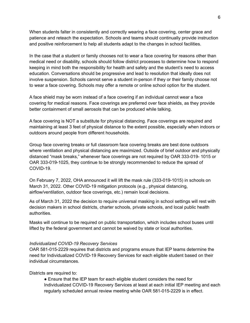When students falter in consistently and correctly wearing a face covering, center grace and patience and reteach the expectation. Schools and teams should continually provide instruction and positive reinforcement to help all students adapt to the changes in school facilities.

In the case that a student or family chooses not to wear a face covering for reasons other than medical need or disability, schools should follow district processes to determine how to respond keeping in mind both the responsibility for health and safety and the student's need to access education. Conversations should be progressive and lead to resolution that ideally does not involve suspension. Schools cannot serve a student in-person if they or their family choose not to wear a face covering. Schools may offer a remote or online school option for the student.

A face shield may be worn instead of a face covering if an individual cannot wear a face covering for medical reasons. Face coverings are preferred over face shields, as they provide better containment of small aerosols that can be produced while talking.

A face covering is NOT a substitute for physical distancing. Face coverings are required and maintaining at least 3 feet of physical distance to the extent possible, especially when indoors or outdoors around people from different households.

Group face covering breaks or full classroom face covering breaks are best done outdoors where ventilation and physical distancing are maximized. Outside of brief outdoor and physically distanced "mask breaks," whenever face coverings are not required by OAR 333-019- 1015 or OAR 333-019-1025, they continue to be strongly recommended to reduce the spread of COVID-19.

On February 7, 2022, OHA announced it will lift the mask rule (333-019-1015) in schools on March 31, 2022. Other COVID-19 mitigation protocols (e.g., physical distancing, airflow/ventilation, outdoor face coverings, etc.) remain local decisions.

As of March 31, 2022 the decision to require universal masking in school settings will rest with decision makers in school districts, charter schools, private schools, and local public health authorities.

Masks will continue to be required on public transportation, which includes school buses until lifted by the federal government and cannot be waived by state or local authorities.

#### *Individualized COVID-19 Recovery Services*

OAR 581-015-2229 requires that districts and programs ensure that IEP teams determine the need for Individualized COVID-19 Recovery Services for each eligible student based on their individual circumstances.

Districts are required to:

● Ensure that the IEP team for each eligible student considers the need for Individualized COVID-19 Recovery Services at least at each initial IEP meeting and each regularly scheduled annual review meeting while OAR 581-015-2229 is in effect.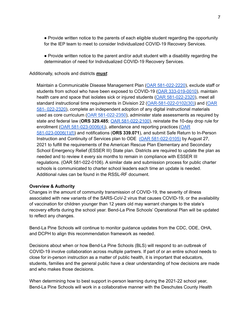- Provide written notice to the parents of each eligible student regarding the opportunity for the IEP team to meet to consider Individualized COVID-19 Recovery Services.
- Provide written notice to the parent and/or adult student with a disability regarding the determination of need for Individualized COVID-19 Recovery Services.

#### Additionally, schools and districts *must*:

Maintain a Communicable Disease Management Plan (OAR [581-022-2220](https://secure.sos.state.or.us/oard/viewSingleRule.action?ruleVrsnRsn=145269)), exclude staff or students from school who have been exposed to COVID-19 (OAR [333-019-0010\)](https://secure.sos.state.or.us/oard/viewSingleRule.action?ruleVrsnRsn=272765), maintain health care and space that isolates sick or injured students (OAR [581-022-2320](https://secure.sos.state.or.us/oard/viewSingleRule.action?ruleVrsnRsn=250536)), meet all standard instructional time requirements in Division 22 ([OAR-581-022-0102\(30\)](https://secure.sos.state.or.us/oard/viewSingleRule.action?ruleVrsnRsn=252828)) and ([OAR](https://secure.sos.state.or.us/oard/viewSingleRule.action?ruleVrsnRsn=250536) 581- [022-2320\)](https://secure.sos.state.or.us/oard/viewSingleRule.action?ruleVrsnRsn=250536), complete an independent adoption of any digital instructional materials used as core curriculum (OAR [581-022-2350\)](https://secure.sos.state.or.us/oard/viewSingleRule.action?ruleVrsnRsn=145324), administer state assessments as required by state and federal law (**ORS 329.485**; OAR [581-022-2100](https://secure.sos.state.or.us/oard/viewSingleRule.action?ruleVrsnRsn=145236)), reinstate the 10-day drop rule for enrollment (OAR [581-023-0006\(4\)\)](https://secure.sos.state.or.us/oard/viewSingleRule.action?ruleVrsnRsn=276369), attendance and reporting practices ([OAR](https://secure.sos.state.or.us/oard/viewSingleRule.action?ruleVrsnRsn=276369) [581-023-0006\(1\)\(f\)](https://secure.sos.state.or.us/oard/viewSingleRule.action?ruleVrsnRsn=276369)) and notifications (**ORS 339.071**), and submit Safe Return to In-Person Instruction and Continuity of Services plan to ODE (OAR [581-022-0105\)](https://secure.sos.state.or.us/oard/displayDivisionRules.action?selectedDivision=2563) by August 27, 2021 to fulfill the requirements of the American Rescue Plan Elementary and Secondary School Emergency Relief (ESSER III) State plan. Districts are required to update the plan as needed and to review it every six months to remain in compliance with ESSER III regulations. (OAR 581-022-0106). A similar date and submission process for public charter schools is communicated to charter school leaders each time an update is needed. Additional rules can be found in the RSSL-RF document.

#### **Overview & Authority**

Changes in the amount of community transmission of COVID-19, the severity of illness associated with new variants of the SARS-CoV-2 virus that causes COVID-19, or the availability of vaccination for children younger than 12 years old may warrant changes to the state's recovery efforts during the school year. Bend-La Pine Schools' Operational Plan will be updated to reflect any changes.

Bend-La Pine Schools will continue to monitor guidance updates from the CDC, ODE, OHA, and DCPH to align this recommendation framework as needed.

Decisions about when or how Bend-La Pine Schools (BLS) will respond to an outbreak of COVID-19 involve collaboration across multiple partners. If part of or an entire school needs to close for in-person instruction as a matter of public health, it is important that educators, students, families and the general public have a clear understanding of how decisions are made and who makes those decisions.

When determining how to best support in-person learning during the 2021-22 school year, Bend-La Pine Schools will work in a collaborative manner with the Deschutes County Health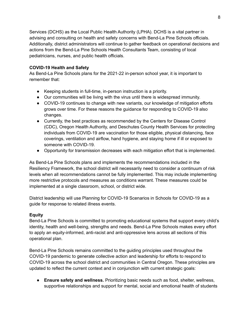Services (DCHS) as the Local Public Health Authority (LPHA). DCHS is a vital partner in advising and consulting on health and safety concerns with Bend-La Pine Schools officials. Additionally, district administrators will continue to gather feedback on operational decisions and actions from the Bend-La Pine Schools Health Consultants Team, consisting of local pediatricians, nurses, and public health officials.

#### **COVID-19 Health and Safety**

As Bend-La Pine Schools plans for the 2021-22 in-person school year, it is important to remember that:

- Keeping students in full-time, in-person instruction is a priority.
- Our communities will be living with the virus until there is widespread immunity.
- COVID-19 continues to change with new variants, our knowledge of mitigation efforts grows over time. For these reasons the guidance for responding to COVID-19 also changes.
- Currently, the best practices as recommended by the Centers for Disease Control (CDC), Oregon Health Authority, and Deschutes County Health Services for protecting individuals from COVID-19 are vaccination for those eligible, physical distancing, face coverings, ventilation and airflow, hand hygiene, and staying home if ill or exposed to someone with COVID-19.
- Opportunity for transmission decreases with each mitigation effort that is implemented.

As Bend-La Pine Schools plans and implements the recommendations included in the Resiliency Framework, the school district will necessarily need to consider a continuum of risk levels when all recommendations cannot be fully implemented. This may include implementing more restrictive protocols and measures as conditions warrant. These measures could be implemented at a single classroom, school, or district wide.

District leadership will use Planning for COVID-19 Scenarios in Schools for COVID-19 as a guide for response to related illness events.

#### **Equity**

Bend-La Pine Schools is committed to promoting educational systems that support every child's identity, health and well-being, strengths and needs. Bend-La Pine Schools makes every effort to apply an equity-informed, anti-racist and anti-oppressive lens across all sections of this operational plan.

Bend-La Pine Schools remains committed to the guiding principles used throughout the COVID-19 pandemic to generate collective action and leadership for efforts to respond to COVID-19 across the school district and communities in Central Oregon. These principles are updated to reflect the current context and in conjunction with current strategic goals:

**● Ensure safety and wellness.** Prioritizing basic needs such as food, shelter, wellness, supportive relationships and support for mental, social and emotional health of students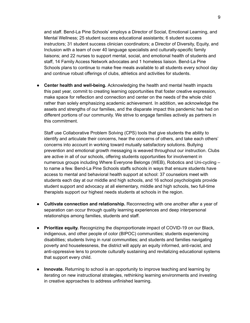and staff. Bend-La Pine Schools' employs a Director of Social, Emotional Learning, and Mental Wellness; 25 student success educational assistants; 6 student success instructors; 31 student success clinician coordinators; a Director of Diversity, Equity, and Inclusion with a team of over 40 language specialists and culturally-specific family liaisons; and 22 nurses to support mental, social, and emotional health of students and staff, 14 Family Access Network advocates and 1 homeless liaison. Bend-La Pine Schools plans to continue to make free meals available to all students every school day and continue robust offerings of clubs, athletics and activities for students.

**● Center health and well-being.** Acknowledging the health and mental health impacts this past year, commit to creating learning opportunities that foster creative expression, make space for reflection and connection and center on the needs of the whole child rather than solely emphasizing academic achievement. In addition, we acknowledge the assets and strengths of our families, and the disparate impact this pandemic has had on different portions of our community. We strive to engage families actively as partners in this commitment.

Staff use Collaborative Problem Solving (CPS) tools that give students the ability to identify and articulate their concerns, hear the concerns of others, and take each others' concerns into account in working toward mutually satisfactory solutions. Bullying prevention and emotional growth messaging is weaved throughout our instruction. Clubs are active in all of our schools, offering students opportunities for involvement in numerous groups including Where Everyone Belongs (WEB), Robotics and Uni-cycling – to name a few. Bend-La Pine Schools staffs schools in ways that ensure students have access to mental and behavioral health support at school: 37 counselors meet with students each day at our middle and high schools, and 16 school psychologists provide student support and advocacy at all elementary, middle and high schools, two full-time therapists support our highest needs students at schools in the region.

- **● Cultivate connection and relationship.** Reconnecting with one another after a year of separation can occur through quality learning experiences and deep interpersonal relationships among families, students and staff.
- **● Prioritize equity.** Recognizing the disproportionate impact of COVID-19 on our Black, indigenous, and other people of color (BIPOC) communities; students experiencing disabilities; students living in rural communities; and students and families navigating poverty and houselessness, the district will apply an equity informed, anti-racist, and anti-oppressive lens to promote culturally sustaining and revitalizing educational systems that support every child.
- **● Innovate.** Returning to school is an opportunity to improve teaching and learning by iterating on new instructional strategies, rethinking learning environments and investing in creative approaches to address unfinished learning.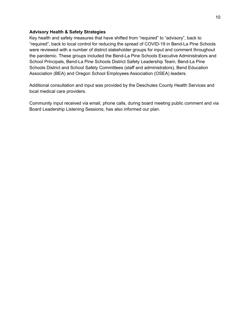#### **Advisory Health & Safety Strategies**

Key health and safety measures that have shifted from "required" to "advisory", back to "required", back to local control for reducing the spread of COVID-19 in Bend-La Pine Schools were reviewed with a number of district stakeholder groups for input and comment throughout the pandemic. These groups included the Bend-La Pine Schools Executive Administrators and School Principals, Bend-La Pine Schools District Safety Leadership Team, Bend-La Pine Schools District and School Safety Committees (staff and administrators), Bend Education Association (BEA) and Oregon School Employees Association (OSEA) leaders.

Additional consultation and input was provided by the Deschutes County Health Services and local medical care providers.

Community input received via email, phone calls, during board meeting public comment and via Board Leadership Listening Sessions, has also informed our plan.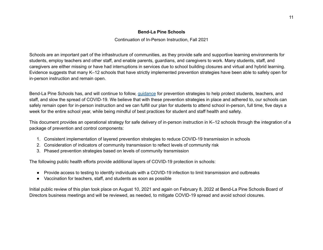#### **Bend-La Pine Schools**

Continuation of In-Person Instruction, Fall 2021

Schools are an important part of the infrastructure of communities, as they provide safe and supportive learning environments for students, employ teachers and other staff, and enable parents, guardians, and caregivers to work. Many students, staff, and caregivers are either missing or have had interruptions in services due to school building closures and virtual and hybrid learning. Evidence suggests that many K–12 schools that have strictly implemented prevention strategies have been able to safely open for in-person instruction and remain open.

Bend-La Pine Schools has, and will continue to follow, [guidance](https://www.cdc.gov/coronavirus/2019-ncov/community/schools-childcare/schools.html) for prevention strategies to help protect students, teachers, and staff, and slow the spread of COVID-19. We believe that with these prevention strategies in place and adhered to, our schools can safely remain open for in-person instruction and we can fulfill our plan for students to attend school in-person, full time, five days a week for the entire school year, while being mindful of best practices for student and staff health and safety.

This document provides an operational strategy for safe delivery of in-person instruction in K–12 schools through the integration of a package of prevention and control components:

- 1. Consistent implementation of layered prevention strategies to reduce COVID-19 transmission in schools
- 2. Consideration of indicators of community transmission to reflect levels of community risk
- 3. Phased prevention strategies based on levels of community transmission

The following public health efforts provide additional layers of COVID-19 protection in schools:

- Provide access to testing to identify individuals with a COVID-19 infection to limit transmission and outbreaks
- Vaccination for teachers, staff, and students as soon as possible

Initial public review of this plan took place on August 10, 2021 and again on February 8, 2022 at Bend-La Pine Schools Board of Directors business meetings and will be reviewed, as needed, to mitigate COVID-19 spread and avoid school closures.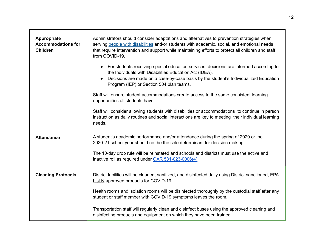| Appropriate<br><b>Accommodations for</b><br><b>Children</b> | Administrators should consider adaptations and alternatives to prevention strategies when<br>serving people with disabilities and/or students with academic, social, and emotional needs<br>that require intervention and support while maintaining efforts to protect all children and staff<br>from COVID-19.<br>• For students receiving special education services, decisions are informed according to<br>the Individuals with Disabilities Education Act (IDEA).<br>Decisions are made on a case-by-case basis by the student's Individualized Education<br>Program (IEP) or Section 504 plan teams. |
|-------------------------------------------------------------|------------------------------------------------------------------------------------------------------------------------------------------------------------------------------------------------------------------------------------------------------------------------------------------------------------------------------------------------------------------------------------------------------------------------------------------------------------------------------------------------------------------------------------------------------------------------------------------------------------|
|                                                             | Staff will ensure student accommodations create access to the same consistent learning<br>opportunities all students have.                                                                                                                                                                                                                                                                                                                                                                                                                                                                                 |
|                                                             | Staff will consider allowing students with disabilities or accommodations to continue in person<br>instruction as daily routines and social interactions are key to meeting their individual learning<br>needs.                                                                                                                                                                                                                                                                                                                                                                                            |
| <b>Attendance</b>                                           | A student's academic performance and/or attendance during the spring of 2020 or the<br>2020-21 school year should not be the sole determinant for decision making.                                                                                                                                                                                                                                                                                                                                                                                                                                         |
|                                                             | The 10-day drop rule will be reinstated and schools and districts must use the active and<br>inactive roll as required under OAR 581-023-0006(4).                                                                                                                                                                                                                                                                                                                                                                                                                                                          |
| <b>Cleaning Protocols</b>                                   | District facilities will be cleaned, sanitized, and disinfected daily using District sanctioned, EPA<br>List N approved products for COVID-19.                                                                                                                                                                                                                                                                                                                                                                                                                                                             |
|                                                             | Health rooms and isolation rooms will be disinfected thoroughly by the custodial staff after any<br>student or staff member with COVID-19 symptoms leaves the room.                                                                                                                                                                                                                                                                                                                                                                                                                                        |
|                                                             | Transportation staff will regularly clean and disinfect buses using the approved cleaning and<br>disinfecting products and equipment on which they have been trained.                                                                                                                                                                                                                                                                                                                                                                                                                                      |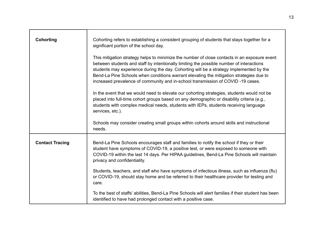| <b>Cohorting</b>       | Cohorting refers to establishing a consistent grouping of students that stays together for a<br>significant portion of the school day.                                                                                                                                                                                                                                                                                                                            |
|------------------------|-------------------------------------------------------------------------------------------------------------------------------------------------------------------------------------------------------------------------------------------------------------------------------------------------------------------------------------------------------------------------------------------------------------------------------------------------------------------|
|                        | This mitigation strategy helps to minimize the number of close contacts in an exposure event<br>between students and staff by intentionally limiting the possible number of interactions<br>students may experience during the day. Cohorting will be a strategy implemented by the<br>Bend-La Pine Schools when conditions warrant elevating the mitigation strategies due to<br>increased prevalence of community and in-school transmission of COVID-19 cases. |
|                        | In the event that we would need to elevate our cohorting strategies, students would not be<br>placed into full-time cohort groups based on any demographic or disability criteria (e.g.,<br>students with complex medical needs, students with IEPs, students receiving language<br>services, etc.).                                                                                                                                                              |
|                        | Schools may consider creating small groups within cohorts around skills and instructional<br>needs.                                                                                                                                                                                                                                                                                                                                                               |
| <b>Contact Tracing</b> | Bend-La Pine Schools encourages staff and families to notify the school if they or their<br>student have symptoms of COVID-19, a positive test, or were exposed to someone with<br>COVID-19 within the last 14 days. Per HIPAA guidelines, Bend-La Pine Schools will maintain<br>privacy and confidentiality.                                                                                                                                                     |
|                        | Students, teachers, and staff who have symptoms of infectious illness, such as influenza (flu)<br>or COVID-19, should stay home and be referred to their healthcare provider for testing and<br>care.                                                                                                                                                                                                                                                             |
|                        | To the best of staffs' abilities, Bend-La Pine Schools will alert families if their student has been<br>identified to have had prolonged contact with a positive case.                                                                                                                                                                                                                                                                                            |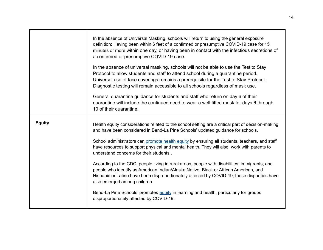|               | In the absence of Universal Masking, schools will return to using the general exposure<br>definition: Having been within 6 feet of a confirmed or presumptive COVID-19 case for 15<br>minutes or more within one day, or having been in contact with the infectious secretions of<br>a confirmed or presumptive COVID-19 case.                                                                                                                                                                                                                                                                                                                                                                                                                                                                                                                                                             |
|---------------|--------------------------------------------------------------------------------------------------------------------------------------------------------------------------------------------------------------------------------------------------------------------------------------------------------------------------------------------------------------------------------------------------------------------------------------------------------------------------------------------------------------------------------------------------------------------------------------------------------------------------------------------------------------------------------------------------------------------------------------------------------------------------------------------------------------------------------------------------------------------------------------------|
|               | In the absence of universal masking, schools will not be able to use the Test to Stay<br>Protocol to allow students and staff to attend school during a quarantine period.<br>Universal use of face coverings remains a prerequisite for the Test to Stay Protocol.<br>Diagnostic testing will remain accessible to all schools regardless of mask use.                                                                                                                                                                                                                                                                                                                                                                                                                                                                                                                                    |
|               | General quarantine guidance for students and staff who return on day 6 of their<br>quarantine will include the continued need to wear a well fitted mask for days 6 through<br>10 of their quarantine.                                                                                                                                                                                                                                                                                                                                                                                                                                                                                                                                                                                                                                                                                     |
| <b>Equity</b> | Health equity considerations related to the school setting are a critical part of decision-making<br>and have been considered in Bend-La Pine Schools' updated guidance for schools.<br>School administrators can promote health equity by ensuring all students, teachers, and staff<br>have resources to support physical and mental health. They will also work with parents to<br>understand concerns for their students<br>According to the CDC, people living in rural areas, people with disabilities, immigrants, and<br>people who identify as American Indian/Alaska Native, Black or African American, and<br>Hispanic or Latino have been disproportionately affected by COVID-19; these disparities have<br>also emerged among children.<br>Bend-La Pine Schools' promotes equity in learning and health, particularly for groups<br>disproportionately affected by COVID-19. |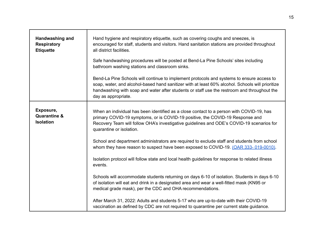| Handwashing and<br><b>Respiratory</b><br><b>Etiquette</b> | Hand hygiene and respiratory etiquette, such as covering coughs and sneezes, is<br>encouraged for staff, students and visitors. Hand sanitation stations are provided throughout<br>all district facilities.<br>Safe handwashing procedures will be posted at Bend-La Pine Schools' sites including<br>bathroom washing stations and classroom sinks.<br>Bend-La Pine Schools will continue to implement protocols and systems to ensure access to<br>soap, water, and alcohol-based hand sanitizer with at least 60% alcohol. Schools will prioritize<br>handwashing with soap and water after students or staff use the restroom and throughout the<br>day as appropriate.                                                                                                                                                                                      |
|-----------------------------------------------------------|-------------------------------------------------------------------------------------------------------------------------------------------------------------------------------------------------------------------------------------------------------------------------------------------------------------------------------------------------------------------------------------------------------------------------------------------------------------------------------------------------------------------------------------------------------------------------------------------------------------------------------------------------------------------------------------------------------------------------------------------------------------------------------------------------------------------------------------------------------------------|
| Exposure,<br><b>Quarantine &amp;</b><br><b>Isolation</b>  | When an individual has been identified as a close contact to a person with COVID-19, has<br>primary COVID-19 symptoms, or is COVID-19 positive, the COVID-19 Response and<br>Recovery Team will follow OHA's investigative guidelines and ODE's COVID-19 scenarios for<br>quarantine or isolation.<br>School and department administrators are required to exclude staff and students from school<br>whom they have reason to suspect have been exposed to COVID-19. (OAR 333-019-0010).<br>Isolation protocol will follow state and local health guidelines for response to related illness<br>events.<br>Schools will accommodate students returning on days 6-10 of isolation. Students in days 6-10<br>of isolation will eat and drink in a designated area and wear a well-fitted mask (KN95 or<br>medical grade mask), per the CDC and OHA recommendations. |
|                                                           | After March 31, 2022: Adults and students 5-17 who are up-to-date with their COVID-19<br>vaccination as defined by CDC are not required to quarantine per current state guidance.                                                                                                                                                                                                                                                                                                                                                                                                                                                                                                                                                                                                                                                                                 |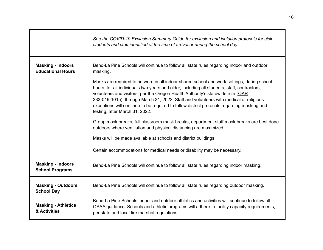|                                                      | See the COVID-19 Exclusion Summary Guide for exclusion and isolation protocols for sick<br>students and staff identified at the time of arrival or during the school day.                                                                                                                                                                                                                                                                                                                            |
|------------------------------------------------------|------------------------------------------------------------------------------------------------------------------------------------------------------------------------------------------------------------------------------------------------------------------------------------------------------------------------------------------------------------------------------------------------------------------------------------------------------------------------------------------------------|
| <b>Masking - Indoors</b><br><b>Educational Hours</b> | Bend-La Pine Schools will continue to follow all state rules regarding indoor and outdoor<br>masking.                                                                                                                                                                                                                                                                                                                                                                                                |
|                                                      | Masks are required to be worn in all indoor shared school and work settings, during school<br>hours, for all individuals two years and older, including all students, staff, contractors,<br>volunteers and visitors, per the Oregon Health Authority's statewide rule (OAR<br>333-019-1015), through March 31, 2022. Staff and volunteers with medical or religious<br>exceptions will continue to be required to follow district protocols regarding masking and<br>testing, after March 31, 2022. |
|                                                      | Group mask breaks, full classroom mask breaks, department staff mask breaks are best done<br>outdoors where ventilation and physical distancing are maximized.                                                                                                                                                                                                                                                                                                                                       |
|                                                      | Masks will be made available at schools and district buildings.                                                                                                                                                                                                                                                                                                                                                                                                                                      |
|                                                      | Certain accommodations for medical needs or disability may be necessary.                                                                                                                                                                                                                                                                                                                                                                                                                             |
| <b>Masking - Indoors</b><br><b>School Programs</b>   | Bend-La Pine Schools will continue to follow all state rules regarding indoor masking.                                                                                                                                                                                                                                                                                                                                                                                                               |
| <b>Masking - Outdoors</b><br><b>School Day</b>       | Bend-La Pine Schools will continue to follow all state rules regarding outdoor masking.                                                                                                                                                                                                                                                                                                                                                                                                              |
| <b>Masking - Athletics</b><br>& Activities           | Bend-La Pine Schools indoor and outdoor athletics and activities will continue to follow all<br>OSAA guidance. Schools and athletic programs will adhere to facility capacity requirements,<br>per state and local fire marshal regulations.                                                                                                                                                                                                                                                         |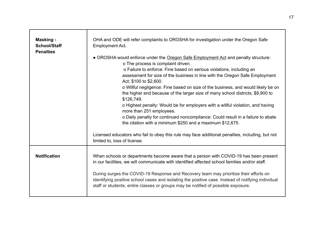| <b>Masking -</b><br><b>School/Staff</b><br><b>Penalties</b> | OHA and ODE will refer complaints to OROSHA for investigation under the Oregon Safe<br>Employment Act.<br>• OROSHA would enforce under the Oregon Safe Employment Act and penalty structure:<br>o The process is complaint driven.<br>o Failure to enforce: Fine based on serious violations, including an<br>assessment for size of the business in line with the Oregon Safe Employment<br>Act; \$100 to \$2,600.<br>o Willful negligence: Fine based on size of the business, and would likely be on<br>the higher end because of the larger size of many school districts; \$8,900 to<br>\$126,749.<br>o Highest penalty: Would be for employers with a willful violation, and having<br>more than 251 employees.<br>o Daily penalty for continued noncompliance: Could result in a failure to abate<br>the citation with a minimum \$250 and a maximum \$12,675. |
|-------------------------------------------------------------|-----------------------------------------------------------------------------------------------------------------------------------------------------------------------------------------------------------------------------------------------------------------------------------------------------------------------------------------------------------------------------------------------------------------------------------------------------------------------------------------------------------------------------------------------------------------------------------------------------------------------------------------------------------------------------------------------------------------------------------------------------------------------------------------------------------------------------------------------------------------------|
|                                                             | Licensed educators who fail to obey this rule may face additional penalties, including, but not<br>limited to, loss of license.                                                                                                                                                                                                                                                                                                                                                                                                                                                                                                                                                                                                                                                                                                                                       |
| <b>Notification</b>                                         | When schools or departments become aware that a person with COVID-19 has been present<br>in our facilities, we will communicate with identified affected school families and/or staff.<br>During surges the COVID-19 Response and Recovery team may prioritize their efforts on<br>identifying positive school cases and isolating the positive case. Instead of notifying individual<br>staff or students, entire classes or groups may be notified of possible exposure.                                                                                                                                                                                                                                                                                                                                                                                            |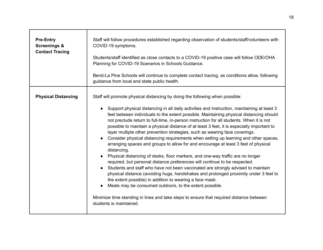| <b>Pre-Entry</b><br><b>Screenings &amp;</b><br><b>Contact Tracing</b> | Staff will follow procedures established regarding observation of students/staff/volunteers with<br>COVID-19 symptoms.<br>Students/staff identified as close contacts to a COVID-19 positive case will follow ODE/OHA<br>Planning for COVID-19 Scenarios in Schools Guidance.<br>Bend-La Pine Schools will continue to complete contact tracing, as conditions allow, following<br>guidance from local and state public health.                                                                                                                                                                                                                                                                                                                                                                                                                                                                                                                                                                                                                                                                                                                                                                                                                                                                                                       |
|-----------------------------------------------------------------------|---------------------------------------------------------------------------------------------------------------------------------------------------------------------------------------------------------------------------------------------------------------------------------------------------------------------------------------------------------------------------------------------------------------------------------------------------------------------------------------------------------------------------------------------------------------------------------------------------------------------------------------------------------------------------------------------------------------------------------------------------------------------------------------------------------------------------------------------------------------------------------------------------------------------------------------------------------------------------------------------------------------------------------------------------------------------------------------------------------------------------------------------------------------------------------------------------------------------------------------------------------------------------------------------------------------------------------------|
| <b>Physical Distancing</b>                                            | Staff will promote physical distancing by doing the following when possible:<br>Support physical distancing in all daily activities and instruction, maintaining at least 3<br>feet between individuals to the extent possible. Maintaining physical distancing should<br>not preclude return to full-time, in-person instruction for all students. When it is not<br>possible to maintain a physical distance of at least 3 feet, it is especially important to<br>layer multiple other prevention strategies, such as wearing face coverings.<br>Consider physical distancing requirements when setting up learning and other spaces,<br>arranging spaces and groups to allow for and encourage at least 3 feet of physical<br>distancing.<br>Physical distancing of desks, floor markers, and one-way traffic are no longer<br>required, but personal distance preferences will continue to be respected.<br>Students and staff who have not been vaccinated are strongly advised to maintain<br>physical distance (avoiding hugs, handshakes and prolonged proximity under 3 feet to<br>the extent possible) in addition to wearing a face mask.<br>Meals may be consumed outdoors, to the extent possible.<br>Minimize time standing in lines and take steps to ensure that required distance between<br>students is maintained. |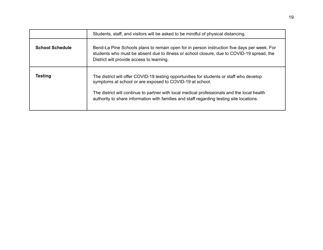|                        | Students, staff, and visitors will be asked to be mindful of physical distancing.                                                                                                                                                                                                                                                               |
|------------------------|-------------------------------------------------------------------------------------------------------------------------------------------------------------------------------------------------------------------------------------------------------------------------------------------------------------------------------------------------|
| <b>School Schedule</b> | Bend-La Pine Schools plans to remain open for in person instruction five days per week. For<br>students who must be absent due to illness or school closure, due to COVID-19 spread, the<br>District will provide access to learning.                                                                                                           |
| Testing                | The district will offer COVID-19 testing opportunities for students or staff who develop<br>symptoms at school or are exposed to COVID-19 at school.<br>The district will continue to partner with local medical professionals and the local health<br>authority to share information with families and staff regarding testing site locations. |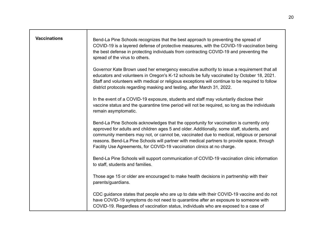| <b>Vaccinations</b> | Bend-La Pine Schools recognizes that the best approach to preventing the spread of<br>COVID-19 is a layered defense of protective measures, with the COVID-19 vaccination being<br>the best defense in protecting individuals from contracting COVID-19 and preventing the<br>spread of the virus to others.                                                                                                                                                 |
|---------------------|--------------------------------------------------------------------------------------------------------------------------------------------------------------------------------------------------------------------------------------------------------------------------------------------------------------------------------------------------------------------------------------------------------------------------------------------------------------|
|                     | Governor Kate Brown used her emergency executive authority to issue a requirement that all<br>educators and volunteers in Oregon's K-12 schools be fully vaccinated by October 18, 2021.<br>Staff and volunteers with medical or religious exceptions will continue to be required to follow<br>district protocols regarding masking and testing, after March 31, 2022.                                                                                      |
|                     | In the event of a COVID-19 exposure, students and staff may voluntarily disclose their<br>vaccine status and the quarantine time period will not be required, so long as the individuals<br>remain asymptomatic.                                                                                                                                                                                                                                             |
|                     | Bend-La Pine Schools acknowledges that the opportunity for vaccination is currently only<br>approved for adults and children ages 5 and older. Additionally, some staff, students, and<br>community members may not, or cannot be, vaccinated due to medical, religious or personal<br>reasons. Bend-La Pine Schools will partner with medical partners to provide space, through<br>Facility Use Agreements, for COVID-19 vaccination clinics at no charge. |
|                     | Bend-La Pine Schools will support communication of COVID-19 vaccination clinic information<br>to staff, students and families.                                                                                                                                                                                                                                                                                                                               |
|                     | Those age 15 or older are encouraged to make health decisions in partnership with their<br>parents/guardians.                                                                                                                                                                                                                                                                                                                                                |
|                     | CDC guidance states that people who are up to date with their COVID-19 vaccine and do not<br>have COVID-19 symptoms do not need to quarantine after an exposure to someone with<br>COVID-19. Regardless of vaccination status, individuals who are exposed to a case of                                                                                                                                                                                      |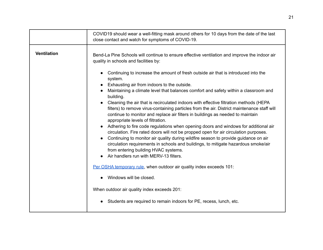|                    | COVID19 should wear a well-fitting mask around others for 10 days from the date of the last<br>close contact and watch for symptoms of COVID-19.                                                                                                                                                                                                                                                                                                                                                                                                                                                                                                                                                                                                                       |
|--------------------|------------------------------------------------------------------------------------------------------------------------------------------------------------------------------------------------------------------------------------------------------------------------------------------------------------------------------------------------------------------------------------------------------------------------------------------------------------------------------------------------------------------------------------------------------------------------------------------------------------------------------------------------------------------------------------------------------------------------------------------------------------------------|
| <b>Ventilation</b> | Bend-La Pine Schools will continue to ensure effective ventilation and improve the indoor air<br>quality in schools and facilities by:<br>Continuing to increase the amount of fresh outside air that is introduced into the<br>system.<br>Exhausting air from indoors to the outside.<br>Maintaining a climate level that balances comfort and safety within a classroom and                                                                                                                                                                                                                                                                                                                                                                                          |
|                    | building.<br>Cleaning the air that is recirculated indoors with effective filtration methods (HEPA<br>filters) to remove virus-containing particles from the air. District maintenance staff will<br>continue to monitor and replace air filters in buildings as needed to maintain<br>appropriate levels of filtration.<br>Adhering to fire code regulations when opening doors and windows for additional air<br>circulation. Fire rated doors will not be propped open for air circulation purposes.<br>Continuing to monitor air quality during wildfire season to provide guidance on air<br>circulation requirements in schools and buildings, to mitigate hazardous smoke/air<br>from entering building HVAC systems.<br>Air handlers run with MERV-13 filters. |
|                    | Per OSHA temporary rule, when outdoor air quality index exceeds 101:<br>Windows will be closed.                                                                                                                                                                                                                                                                                                                                                                                                                                                                                                                                                                                                                                                                        |
|                    | When outdoor air quality index exceeds 201:<br>Students are required to remain indoors for PE, recess, lunch, etc.                                                                                                                                                                                                                                                                                                                                                                                                                                                                                                                                                                                                                                                     |
|                    |                                                                                                                                                                                                                                                                                                                                                                                                                                                                                                                                                                                                                                                                                                                                                                        |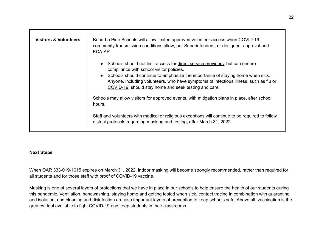| <b>Visitors &amp; Volunteers</b> | Bend-La Pine Schools will allow limited approved volunteer access when COVID-19<br>community transmission conditions allow, per Superintendent, or designee, approval and<br>KCA-AR.                                                                                                                                                                                        |
|----------------------------------|-----------------------------------------------------------------------------------------------------------------------------------------------------------------------------------------------------------------------------------------------------------------------------------------------------------------------------------------------------------------------------|
|                                  | Schools should not limit access for direct service providers, but can ensure<br>$\bullet$<br>compliance with school visitor policies.<br>• Schools should continue to emphasize the importance of staying home when sick.<br>Anyone, including volunteers, who have symptoms of infectious illness, such as flu or<br>COVID-19, should stay home and seek testing and care. |
|                                  | Schools may allow visitors for approved events, with mitigation plans in place, after school<br>hours.                                                                                                                                                                                                                                                                      |
|                                  | Staff and volunteers with medical or religious exceptions will continue to be required to follow<br>district protocols regarding masking and testing, after March 31, 2022.                                                                                                                                                                                                 |

#### **Next Steps**

When OAR [333-019-1015](https://lnks.gd/l/eyJhbGciOiJIUzI1NiJ9.eyJidWxsZXRpbl9saW5rX2lkIjoxMDQsInVyaSI6ImJwMjpjbGljayIsImJ1bGxldGluX2lkIjoiMjAyMTA4MDMuNDQwODAxNjEiLCJ1cmwiOiJodHRwczovL3NlY3VyZS5zb3Muc3RhdGUub3IudXMvb2FyZC92aWV3U2luZ2xlUnVsZS5hY3Rpb24_cnVsZVZyc25Sc249MjgwMTgzJnV0bV9tZWRpdW09ZW1haWwmdXRtX3NvdXJjZT1nb3ZkZWxpdmVyeSJ9.tM_5df0cCtkx2qVROshDeXmoZ5SW60FpqAEim2ESR3w/s/979397990/br/110339932286-l) expires on March 31, 2022, indoor masking will become strongly recommended, rather than required for all students and for those staff with proof of COVID-19 vaccine.

Masking is one of several layers of protections that we have in place in our schools to help ensure the health of our students during this pandemic. Ventilation, handwashing, staying home and getting tested when sick, contact tracing in combination with quarantine and isolation, and cleaning and disinfection are also important layers of prevention to keep schools safe. Above all, vaccination is the greatest tool available to fight COVID-19 and keep students in their classrooms.